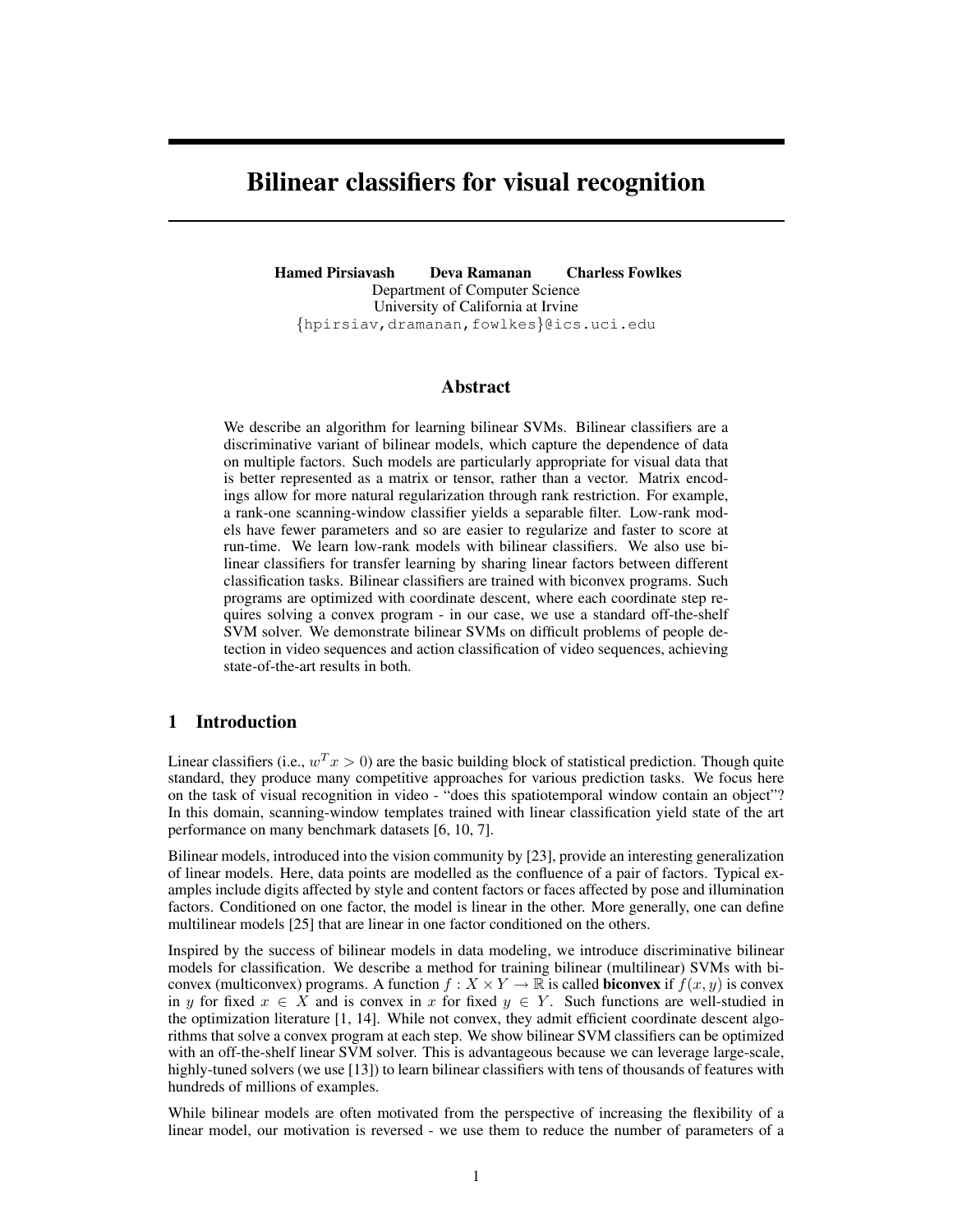# Bilinear classifiers for visual recognition

Hamed Pirsiavash Deva Ramanan Charless Fowlkes Department of Computer Science University of California at Irvine {hpirsiav,dramanan,fowlkes}@ics.uci.edu

## Abstract

We describe an algorithm for learning bilinear SVMs. Bilinear classifiers are a discriminative variant of bilinear models, which capture the dependence of data on multiple factors. Such models are particularly appropriate for visual data that is better represented as a matrix or tensor, rather than a vector. Matrix encodings allow for more natural regularization through rank restriction. For example, a rank-one scanning-window classifier yields a separable filter. Low-rank models have fewer parameters and so are easier to regularize and faster to score at run-time. We learn low-rank models with bilinear classifiers. We also use bilinear classifiers for transfer learning by sharing linear factors between different classification tasks. Bilinear classifiers are trained with biconvex programs. Such programs are optimized with coordinate descent, where each coordinate step requires solving a convex program - in our case, we use a standard off-the-shelf SVM solver. We demonstrate bilinear SVMs on difficult problems of people detection in video sequences and action classification of video sequences, achieving state-of-the-art results in both.

## 1 Introduction

Linear classifiers (i.e.,  $w^T x > 0$ ) are the basic building block of statistical prediction. Though quite standard, they produce many competitive approaches for various prediction tasks. We focus here on the task of visual recognition in video - "does this spatiotemporal window contain an object"? In this domain, scanning-window templates trained with linear classification yield state of the art performance on many benchmark datasets [6, 10, 7].

Bilinear models, introduced into the vision community by [23], provide an interesting generalization of linear models. Here, data points are modelled as the confluence of a pair of factors. Typical examples include digits affected by style and content factors or faces affected by pose and illumination factors. Conditioned on one factor, the model is linear in the other. More generally, one can define multilinear models [25] that are linear in one factor conditioned on the others.

Inspired by the success of bilinear models in data modeling, we introduce discriminative bilinear models for classification. We describe a method for training bilinear (multilinear) SVMs with biconvex (multiconvex) programs. A function  $f : X \times Y \to \mathbb{R}$  is called **biconvex** if  $f(x, y)$  is convex in y for fixed  $x \in X$  and is convex in x for fixed  $y \in Y$ . Such functions are well-studied in the optimization literature [1, 14]. While not convex, they admit efficient coordinate descent algorithms that solve a convex program at each step. We show bilinear SVM classifiers can be optimized with an off-the-shelf linear SVM solver. This is advantageous because we can leverage large-scale, highly-tuned solvers (we use [13]) to learn bilinear classifiers with tens of thousands of features with hundreds of millions of examples.

While bilinear models are often motivated from the perspective of increasing the flexibility of a linear model, our motivation is reversed - we use them to reduce the number of parameters of a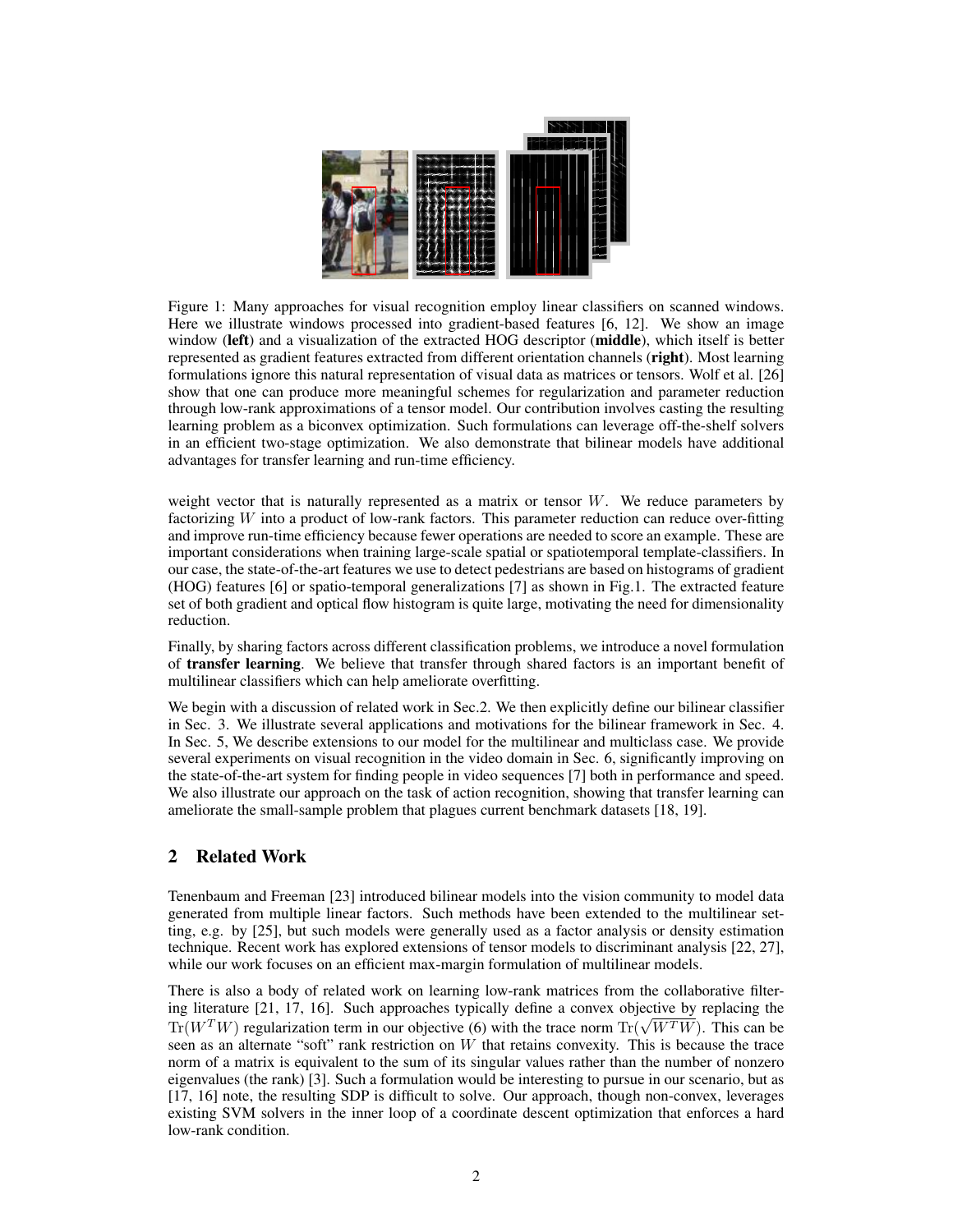

Figure 1: Many approaches for visual recognition employ linear classifiers on scanned windows. Here we illustrate windows processed into gradient-based features [6, 12]. We show an image window (left) and a visualization of the extracted HOG descriptor (middle), which itself is better represented as gradient features extracted from different orientation channels (right). Most learning formulations ignore this natural representation of visual data as matrices or tensors. Wolf et al. [26] show that one can produce more meaningful schemes for regularization and parameter reduction through low-rank approximations of a tensor model. Our contribution involves casting the resulting learning problem as a biconvex optimization. Such formulations can leverage off-the-shelf solvers in an efficient two-stage optimization. We also demonstrate that bilinear models have additional advantages for transfer learning and run-time efficiency.

weight vector that is naturally represented as a matrix or tensor  $W$ . We reduce parameters by factorizing W into a product of low-rank factors. This parameter reduction can reduce over-fitting and improve run-time efficiency because fewer operations are needed to score an example. These are important considerations when training large-scale spatial or spatiotemporal template-classifiers. In our case, the state-of-the-art features we use to detect pedestrians are based on histograms of gradient (HOG) features [6] or spatio-temporal generalizations [7] as shown in Fig.1. The extracted feature set of both gradient and optical flow histogram is quite large, motivating the need for dimensionality reduction.

Finally, by sharing factors across different classification problems, we introduce a novel formulation of transfer learning. We believe that transfer through shared factors is an important benefit of multilinear classifiers which can help ameliorate overfitting.

We begin with a discussion of related work in Sec. 2. We then explicitly define our bilinear classifier in Sec. 3. We illustrate several applications and motivations for the bilinear framework in Sec. 4. In Sec. 5, We describe extensions to our model for the multilinear and multiclass case. We provide several experiments on visual recognition in the video domain in Sec. 6, significantly improving on the state-of-the-art system for finding people in video sequences [7] both in performance and speed. We also illustrate our approach on the task of action recognition, showing that transfer learning can ameliorate the small-sample problem that plagues current benchmark datasets [18, 19].

# 2 Related Work

Tenenbaum and Freeman [23] introduced bilinear models into the vision community to model data generated from multiple linear factors. Such methods have been extended to the multilinear setting, e.g. by [25], but such models were generally used as a factor analysis or density estimation technique. Recent work has explored extensions of tensor models to discriminant analysis [22, 27], while our work focuses on an efficient max-margin formulation of multilinear models.

There is also a body of related work on learning low-rank matrices from the collaborative filtering literature [21, 17, 16]. Such approaches typically define a convex objective by replacing the Ing interature [21, 17, 16]. Such approaches typically define a convex objective by replacing the  $Tr(W^TW)$  regularization term in our objective (6) with the trace norm  $Tr(\sqrt{W^TW})$ . This can be seen as an alternate "soft" rank restriction on W that retains convexity. This is because the trace norm of a matrix is equivalent to the sum of its singular values rather than the number of nonzero eigenvalues (the rank) [3]. Such a formulation would be interesting to pursue in our scenario, but as [17, 16] note, the resulting SDP is difficult to solve. Our approach, though non-convex, leverages existing SVM solvers in the inner loop of a coordinate descent optimization that enforces a hard low-rank condition.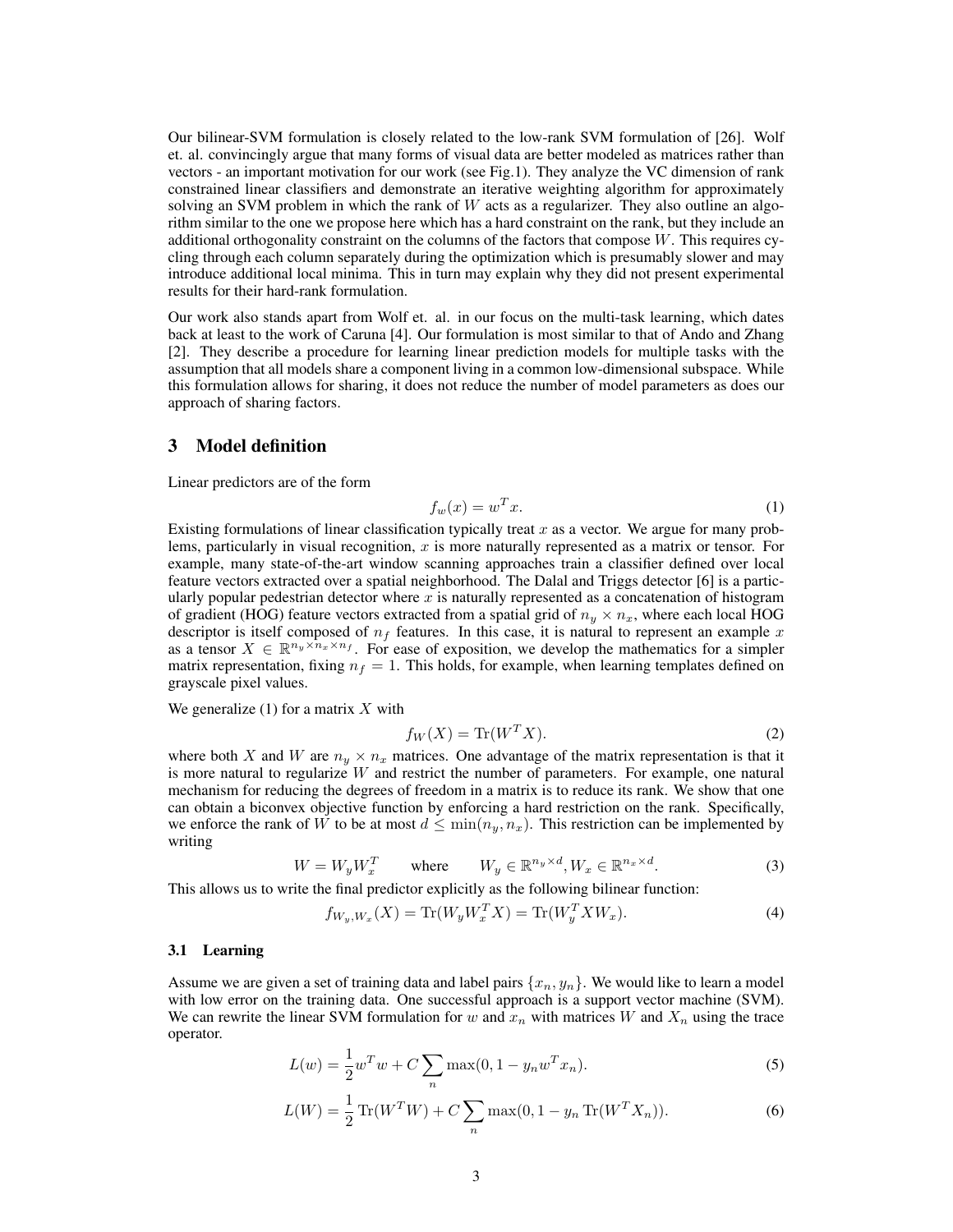Our bilinear-SVM formulation is closely related to the low-rank SVM formulation of [26]. Wolf et. al. convincingly argue that many forms of visual data are better modeled as matrices rather than vectors - an important motivation for our work (see Fig.1). They analyze the VC dimension of rank constrained linear classifiers and demonstrate an iterative weighting algorithm for approximately solving an SVM problem in which the rank of  $W$  acts as a regularizer. They also outline an algorithm similar to the one we propose here which has a hard constraint on the rank, but they include an additional orthogonality constraint on the columns of the factors that compose W. This requires cycling through each column separately during the optimization which is presumably slower and may introduce additional local minima. This in turn may explain why they did not present experimental results for their hard-rank formulation.

Our work also stands apart from Wolf et. al. in our focus on the multi-task learning, which dates back at least to the work of Caruna [4]. Our formulation is most similar to that of Ando and Zhang [2]. They describe a procedure for learning linear prediction models for multiple tasks with the assumption that all models share a component living in a common low-dimensional subspace. While this formulation allows for sharing, it does not reduce the number of model parameters as does our approach of sharing factors.

## 3 Model definition

Linear predictors are of the form

$$
f_w(x) = w^T x.
$$
 (1)

Existing formulations of linear classification typically treat x as a vector. We argue for many problems, particularly in visual recognition,  $x$  is more naturally represented as a matrix or tensor. For example, many state-of-the-art window scanning approaches train a classifier defined over local feature vectors extracted over a spatial neighborhood. The Dalal and Triggs detector [6] is a particularly popular pedestrian detector where  $x$  is naturally represented as a concatenation of histogram of gradient (HOG) feature vectors extracted from a spatial grid of  $n_y \times n_x$ , where each local HOG descriptor is itself composed of  $n_f$  features. In this case, it is natural to represent an example x as a tensor  $X \in \mathbb{R}^{n_y \times n_x \times n_f}$ . For ease of exposition, we develop the mathematics for a simpler matrix representation, fixing  $n_f = 1$ . This holds, for example, when learning templates defined on grayscale pixel values.

We generalize  $(1)$  for a matrix X with

$$
f_W(X) = \text{Tr}(W^T X). \tag{2}
$$

where both X and W are  $n_y \times n_x$  matrices. One advantage of the matrix representation is that it is more natural to regularize  $W$  and restrict the number of parameters. For example, one natural mechanism for reducing the degrees of freedom in a matrix is to reduce its rank. We show that one can obtain a biconvex objective function by enforcing a hard restriction on the rank. Specifically, we enforce the rank of W to be at most  $d \leq \min(n_u, n_x)$ . This restriction can be implemented by writing

$$
W = W_y W_x^T \qquad \text{where} \qquad W_y \in \mathbb{R}^{n_y \times d}, W_x \in \mathbb{R}^{n_x \times d}.
$$
 (3)

This allows us to write the final predictor explicitly as the following bilinear function:

$$
f_{W_y,W_x}(X) = \text{Tr}(W_y W_x^T X) = \text{Tr}(W_y^T X W_x). \tag{4}
$$

#### 3.1 Learning

Assume we are given a set of training data and label pairs  $\{x_n, y_n\}$ . We would like to learn a model with low error on the training data. One successful approach is a support vector machine (SVM). We can rewrite the linear SVM formulation for w and  $x_n$  with matrices W and  $X_n$  using the trace operator.

$$
L(w) = \frac{1}{2}w^T w + C \sum_{n} \max(0, 1 - y_n w^T x_n).
$$
 (5)

$$
L(W) = \frac{1}{2} \operatorname{Tr}(W^T W) + C \sum_{n} \max(0, 1 - y_n \operatorname{Tr}(W^T X_n)).
$$
 (6)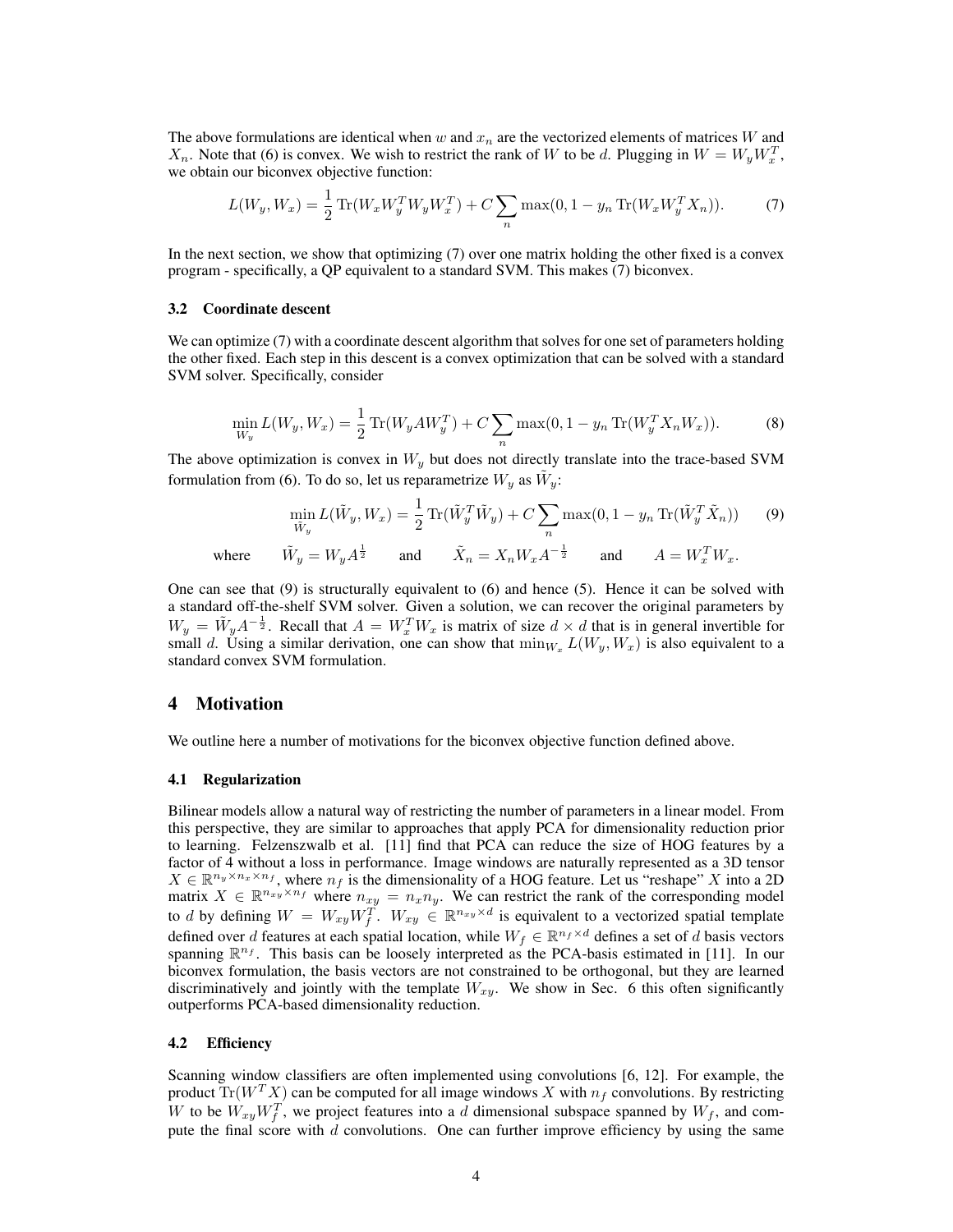The above formulations are identical when w and  $x_n$  are the vectorized elements of matrices W and  $X_n$ . Note that (6) is convex. We wish to restrict the rank of W to be d. Plugging in  $W = W_y W_x^T$ , we obtain our biconvex objective function:

$$
L(W_y, W_x) = \frac{1}{2} \operatorname{Tr}(W_x W_y^T W_y W_x^T) + C \sum_n \max(0, 1 - y_n \operatorname{Tr}(W_x W_y^T X_n)).
$$
 (7)

In the next section, we show that optimizing (7) over one matrix holding the other fixed is a convex program - specifically, a QP equivalent to a standard SVM. This makes (7) biconvex.

#### 3.2 Coordinate descent

We can optimize (7) with a coordinate descent algorithm that solves for one set of parameters holding the other fixed. Each step in this descent is a convex optimization that can be solved with a standard SVM solver. Specifically, consider

$$
\min_{W_y} L(W_y, W_x) = \frac{1}{2} \operatorname{Tr}(W_y A W_y^T) + C \sum_n \max(0, 1 - y_n \operatorname{Tr}(W_y^T X_n W_x)).
$$
\n(8)

The above optimization is convex in  $W_y$  but does not directly translate into the trace-based SVM formulation from (6). To do so, let us reparametrize  $W_y$  as  $\tilde{W}_y$ :

$$
\min_{\tilde{W}_y} L(\tilde{W}_y, W_x) = \frac{1}{2} \operatorname{Tr}(\tilde{W}_y^T \tilde{W}_y) + C \sum_n \max(0, 1 - y_n \operatorname{Tr}(\tilde{W}_y^T \tilde{X}_n)) \tag{9}
$$

where  $\tilde{X}_y = W_y A^{\frac{1}{2}}$  and  $\tilde{X}_n = X_n W_x A^{-\frac{1}{2}}$  and  $A = W_x^T W_x$ .

One can see that  $(9)$  is structurally equivalent to  $(6)$  and hence  $(5)$ . Hence it can be solved with a standard off-the-shelf SVM solver. Given a solution, we can recover the original parameters by  $W_y = \tilde{W}_y A^{-\frac{1}{2}}$ . Recall that  $A = W_x^T W_x$  is matrix of size  $d \times d$  that is in general invertible for small d. Using a similar derivation, one can show that  $\min_{W_x} L(W_y, W_x)$  is also equivalent to a standard convex SVM formulation.

## 4 Motivation

We outline here a number of motivations for the biconvex objective function defined above.

#### 4.1 Regularization

Bilinear models allow a natural way of restricting the number of parameters in a linear model. From this perspective, they are similar to approaches that apply PCA for dimensionality reduction prior to learning. Felzenszwalb et al. [11] find that PCA can reduce the size of HOG features by a factor of 4 without a loss in performance. Image windows are naturally represented as a 3D tensor  $X \in \mathbb{R}^{n_y \times n_x \times n_f}$ , where  $n_f$  is the dimensionality of a HOG feature. Let us "reshape" X into a 2D matrix  $X \in \mathbb{R}^{n_{xy}\times n_f}$  where  $n_{xy} = n_x n_y$ . We can restrict the rank of the corresponding model to d by defining  $W = W_{xy} W_f^T$ .  $W_{xy} \in \mathbb{R}^{n_{xy} \times d}$  is equivalent to a vectorized spatial template defined over d features at each spatial location, while  $W_f \in \mathbb{R}^{n_f \times d}$  defines a set of d basis vectors spanning  $\mathbb{R}^{n_f}$ . This basis can be loosely interpreted as the PCA-basis estimated in [11]. In our biconvex formulation, the basis vectors are not constrained to be orthogonal, but they are learned discriminatively and jointly with the template  $W_{xy}$ . We show in Sec. 6 this often significantly outperforms PCA-based dimensionality reduction.

#### 4.2 Efficiency

Scanning window classifiers are often implemented using convolutions [6, 12]. For example, the product  $\text{Tr}(W^T X)$  can be computed for all image windows X with  $n_f$  convolutions. By restricting W to be  $W_{xy}W_f^T$ , we project features into a d dimensional subspace spanned by  $W_f$ , and compute the final score with  $d$  convolutions. One can further improve efficiency by using the same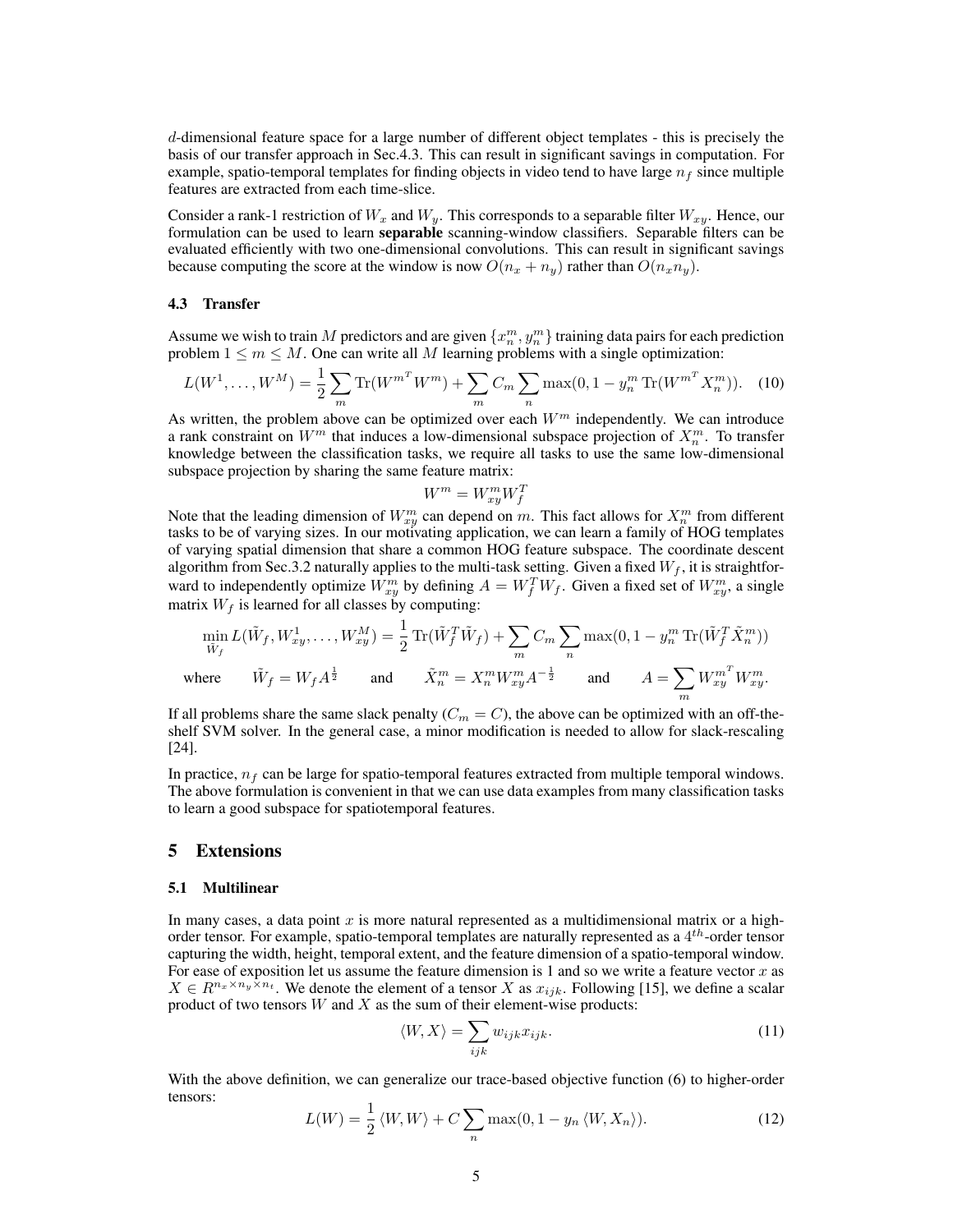d-dimensional feature space for a large number of different object templates - this is precisely the basis of our transfer approach in Sec.4.3. This can result in significant savings in computation. For example, spatio-temporal templates for finding objects in video tend to have large  $n_f$  since multiple features are extracted from each time-slice.

Consider a rank-1 restriction of  $W_x$  and  $W_y$ . This corresponds to a separable filter  $W_{xy}$ . Hence, our formulation can be used to learn **separable** scanning-window classifiers. Separable filters can be evaluated efficiently with two one-dimensional convolutions. This can result in significant savings because computing the score at the window is now  $O(n_x + n_y)$  rather than  $O(n_x n_y)$ .

#### 4.3 Transfer

Assume we wish to train M predictors and are given  $\{x_n^m, y_n^m\}$  training data pairs for each prediction problem  $1 \le m \le M$ . One can write all M learning problems with a single optimization:

$$
L(W^1, \dots, W^M) = \frac{1}{2} \sum_m \text{Tr}(W^{m^T} W^m) + \sum_m C_m \sum_n \max(0, 1 - y_n^m \text{Tr}(W^{m^T} X_n^m)). \tag{10}
$$

As written, the problem above can be optimized over each  $W<sup>m</sup>$  independently. We can introduce a rank constraint on  $W^m$  that induces a low-dimensional subspace projection of  $X_n^m$ . To transfer knowledge between the classification tasks, we require all tasks to use the same low-dimensional subspace projection by sharing the same feature matrix:

$$
W^m = W^m_{xu} W^T_f
$$

 $W^m = W_{xy}^m W_f^T$ <br>Note that the leading dimension of  $W_{xy}^m$  can depend on m. This fact allows for  $X_n^m$  from different tasks to be of varying sizes. In our motivating application, we can learn a family of HOG templates of varying spatial dimension that share a common HOG feature subspace. The coordinate descent algorithm from Sec.3.2 naturally applies to the multi-task setting. Given a fixed  $W_f$ , it is straightforward to independently optimize  $W_{xy}^m$  by defining  $A = W_f^T W_f$ . Given a fixed set of  $W_{xy}^m$ , a single matrix  $W_f$  is learned for all classes by computing:

$$
\min_{\tilde{W}_f} L(\tilde{W}_f, W_{xy}^1, \dots, W_{xy}^M) = \frac{1}{2} \operatorname{Tr}(\tilde{W}_f^T \tilde{W}_f) + \sum_m C_m \sum_n \max(0, 1 - y_n^m \operatorname{Tr}(\tilde{W}_f^T \tilde{X}_n^m))
$$
\nwhere\n
$$
\tilde{W}_f = W_f A^{\frac{1}{2}}
$$
\nand\n
$$
\tilde{X}_n^m = X_n^m W_{xy}^m A^{-\frac{1}{2}}
$$
\nand\n
$$
A = \sum_m W_{xy}^{m^T} W_{xy}^m.
$$

If all problems share the same slack penalty  $(C_m = C)$ , the above can be optimized with an off-theshelf SVM solver. In the general case, a minor modification is needed to allow for slack-rescaling [24].

In practice,  $n_f$  can be large for spatio-temporal features extracted from multiple temporal windows. The above formulation is convenient in that we can use data examples from many classification tasks to learn a good subspace for spatiotemporal features.

#### 5 Extensions

#### 5.1 Multilinear

In many cases, a data point  $x$  is more natural represented as a multidimensional matrix or a highorder tensor. For example, spatio-temporal templates are naturally represented as a  $4^{th}$ -order tensor capturing the width, height, temporal extent, and the feature dimension of a spatio-temporal window. For ease of exposition let us assume the feature dimension is 1 and so we write a feature vector  $x$  as  $X \in R^{n_x \times n_y \times n_t}$ . We denote the element of a tensor X as  $x_{ijk}$ . Following [15], we define a scalar product of two tensors  $W$  and  $X$  as the sum of their element-wise products:

$$
\langle W, X \rangle = \sum_{ijk} w_{ijk} x_{ijk}.
$$
 (11)

With the above definition, we can generalize our trace-based objective function (6) to higher-order tensors:

$$
L(W) = \frac{1}{2} \langle W, W \rangle + C \sum_{n} \max(0, 1 - y_n \langle W, X_n \rangle).
$$
 (12)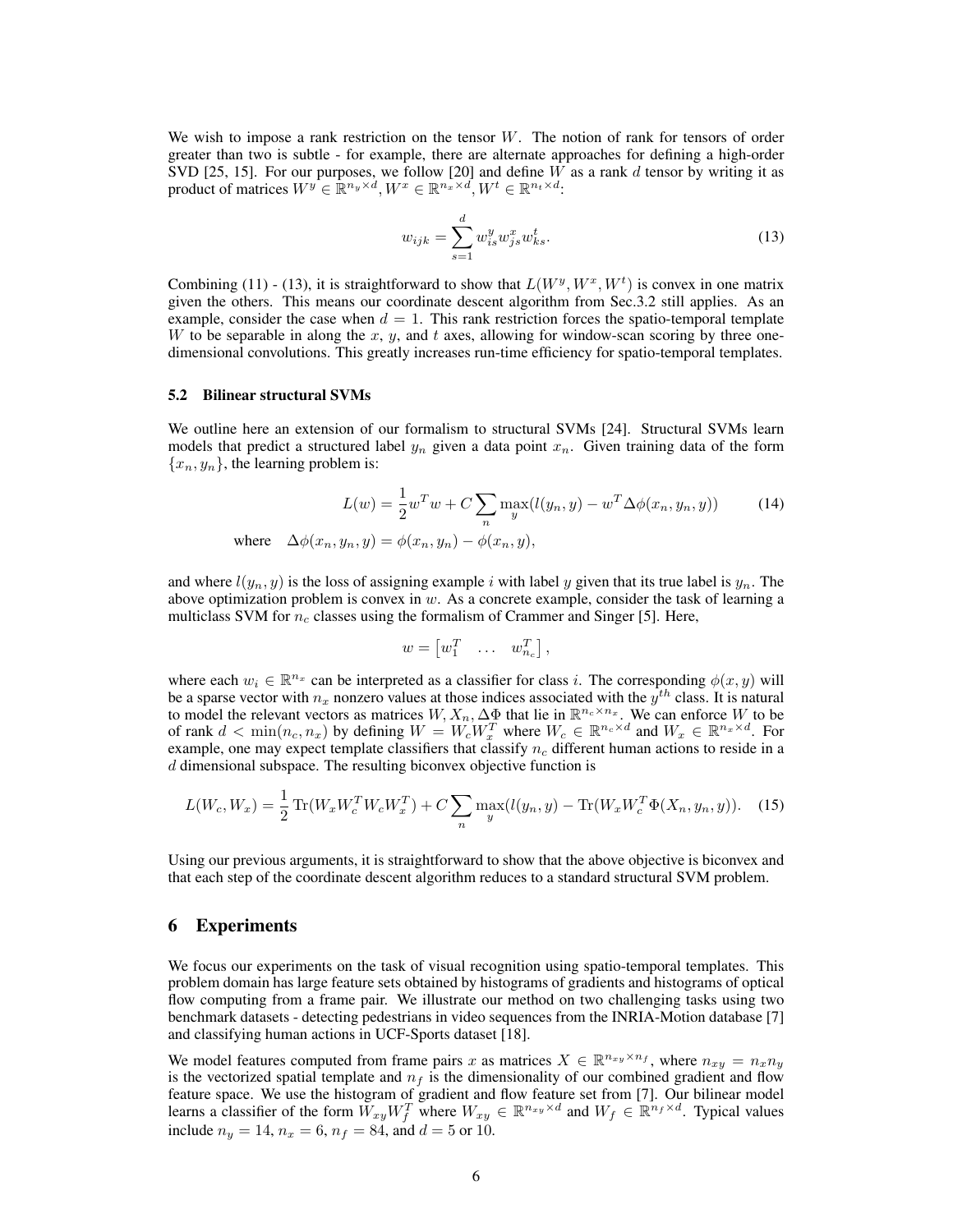We wish to impose a rank restriction on the tensor  $W$ . The notion of rank for tensors of order greater than two is subtle - for example, there are alternate approaches for defining a high-order SVD [25, 15]. For our purposes, we follow [20] and define  $W$  as a rank  $d$  tensor by writing it as product of matrices  $W^y \in \mathbb{R}^{n_y \times d}$ ,  $W^x \in \mathbb{R}^{n_x \times d}$ ,  $W^t \in \mathbb{R}^{n_t \times d}$ .

$$
w_{ijk} = \sum_{s=1}^{d} w_{is}^{y} w_{js}^{x} w_{ks}^{t}.
$$
\n(13)

Combining (11) - (13), it is straightforward to show that  $L(W^y, W^x, W^t)$  is convex in one matrix given the others. This means our coordinate descent algorithm from Sec.3.2 still applies. As an example, consider the case when  $d = 1$ . This rank restriction forces the spatio-temporal template W to be separable in along the x, y, and t axes, allowing for window-scan scoring by three onedimensional convolutions. This greatly increases run-time efficiency for spatio-temporal templates.

#### 5.2 Bilinear structural SVMs

We outline here an extension of our formalism to structural SVMs [24]. Structural SVMs learn models that predict a structured label  $y_n$  given a data point  $x_n$ . Given training data of the form  ${x_n, y_n}$ , the learning problem is:

$$
L(w) = \frac{1}{2}w^T w + C \sum_{n} \max_{y} (l(y_n, y) - w^T \Delta \phi(x_n, y_n, y))
$$
 (14)  
where  $\Delta \phi(x_n, y_n, y) = \phi(x_n, y_n) - \phi(x_n, y),$ 

and where  $l(y_n, y)$  is the loss of assigning example i with label y given that its true label is  $y_n$ . The above optimization problem is convex in  $w$ . As a concrete example, consider the task of learning a multiclass SVM for  $n_c$  classes using the formalism of Crammer and Singer [5]. Here,

$$
w = \begin{bmatrix} w_1^T & \dots & w_{n_c}^T \end{bmatrix},
$$

where each  $w_i \in \mathbb{R}^{n_x}$  can be interpreted as a classifier for class i. The corresponding  $\phi(x, y)$  will be a sparse vector with  $n_x$  nonzero values at those indices associated with the  $y^{th}$  class. It is natural to model the relevant vectors as matrices  $W, X_n, \Delta \Phi$  that lie in  $\mathbb{R}^{n_c \times n_x}$ . We can enforce W to be of rank  $d < \min(n_c, n_x)$  by defining  $W = W_c W_x^T$  where  $W_c \in \mathbb{R}^{n_c \times d}$  and  $W_x \in \mathbb{R}^{n_x \times d}$ . For example, one may expect template classifiers that classify  $n_c$  different human actions to reside in a  $d$  dimensional subspace. The resulting biconvex objective function is

$$
L(W_c, W_x) = \frac{1}{2} \text{Tr}(W_x W_c^T W_c W_x^T) + C \sum_n \max_y (l(y_n, y) - \text{Tr}(W_x W_c^T \Phi(X_n, y_n, y)). \tag{15}
$$

Using our previous arguments, it is straightforward to show that the above objective is biconvex and that each step of the coordinate descent algorithm reduces to a standard structural SVM problem.

## 6 Experiments

We focus our experiments on the task of visual recognition using spatio-temporal templates. This problem domain has large feature sets obtained by histograms of gradients and histograms of optical flow computing from a frame pair. We illustrate our method on two challenging tasks using two benchmark datasets - detecting pedestrians in video sequences from the INRIA-Motion database [7] and classifying human actions in UCF-Sports dataset [18].

We model features computed from frame pairs x as matrices  $X \in \mathbb{R}^{n_{xy} \times n_f}$ , where  $n_{xy} = n_x n_y$ is the vectorized spatial template and  $n_f$  is the dimensionality of our combined gradient and flow feature space. We use the histogram of gradient and flow feature set from [7]. Our bilinear model learns a classifier of the form  $\widetilde{W}_{xy}W_f^T$  where  $W_{xy} \in \mathbb{R}^{n_x y \times d}$  and  $W_f \in \mathbb{R}^{n_f \times d}$ . Typical values include  $n_y = 14$ ,  $n_x = 6$ ,  $n_f = 84$ , and  $d = 5$  or 10.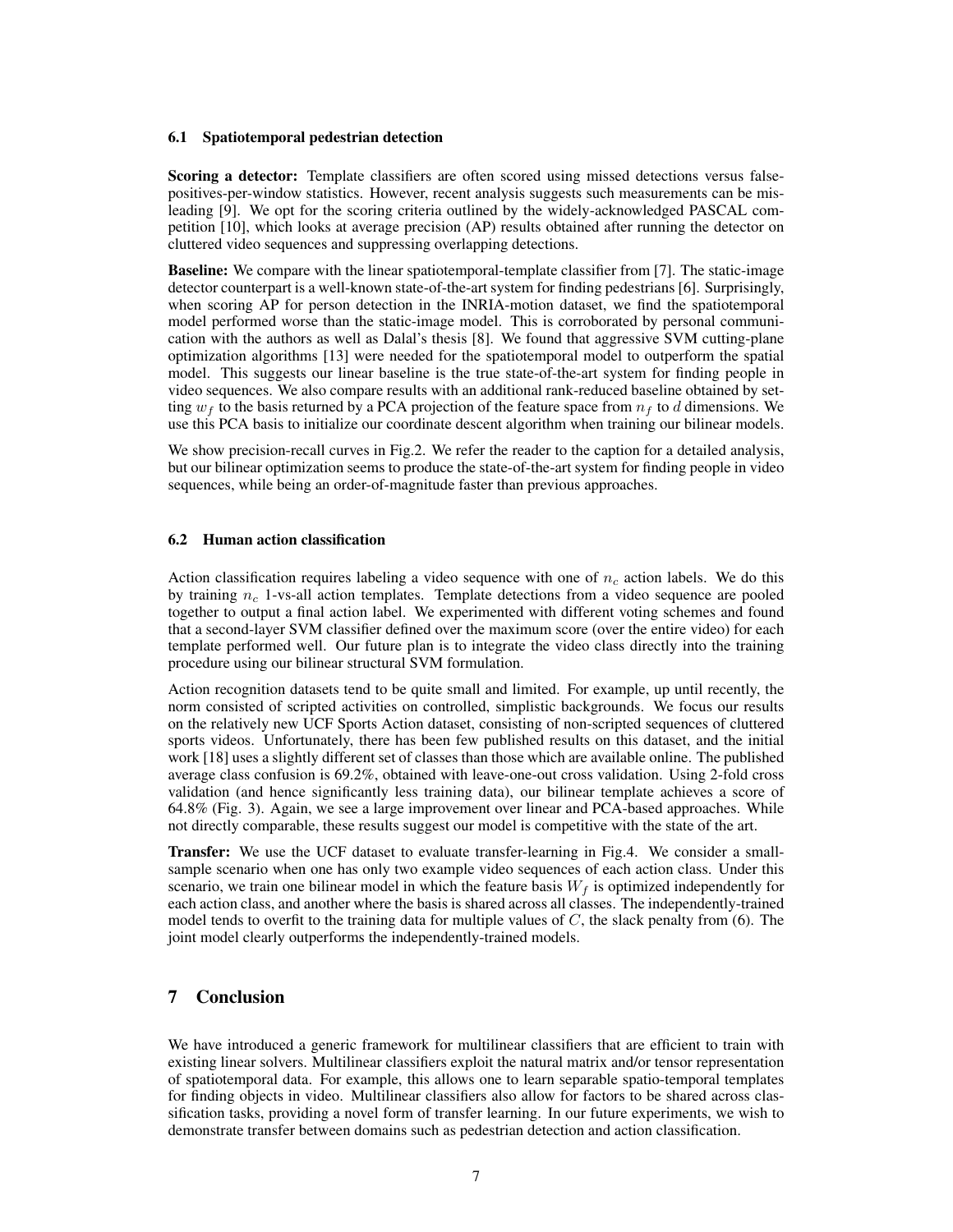#### 6.1 Spatiotemporal pedestrian detection

Scoring a detector: Template classifiers are often scored using missed detections versus falsepositives-per-window statistics. However, recent analysis suggests such measurements can be misleading [9]. We opt for the scoring criteria outlined by the widely-acknowledged PASCAL competition [10], which looks at average precision (AP) results obtained after running the detector on cluttered video sequences and suppressing overlapping detections.

Baseline: We compare with the linear spatiotemporal-template classifier from [7]. The static-image detector counterpart is a well-known state-of-the-art system for finding pedestrians [6]. Surprisingly, when scoring AP for person detection in the INRIA-motion dataset, we find the spatiotemporal model performed worse than the static-image model. This is corroborated by personal communication with the authors as well as Dalal's thesis [8]. We found that aggressive SVM cutting-plane optimization algorithms [13] were needed for the spatiotemporal model to outperform the spatial model. This suggests our linear baseline is the true state-of-the-art system for finding people in video sequences. We also compare results with an additional rank-reduced baseline obtained by setting  $w_f$  to the basis returned by a PCA projection of the feature space from  $n_f$  to d dimensions. We use this PCA basis to initialize our coordinate descent algorithm when training our bilinear models.

We show precision-recall curves in Fig.2. We refer the reader to the caption for a detailed analysis, but our bilinear optimization seems to produce the state-of-the-art system for finding people in video sequences, while being an order-of-magnitude faster than previous approaches.

#### 6.2 Human action classification

Action classification requires labeling a video sequence with one of  $n_c$  action labels. We do this by training  $n_c$  1-vs-all action templates. Template detections from a video sequence are pooled together to output a final action label. We experimented with different voting schemes and found that a second-layer SVM classifier defined over the maximum score (over the entire video) for each template performed well. Our future plan is to integrate the video class directly into the training procedure using our bilinear structural SVM formulation.

Action recognition datasets tend to be quite small and limited. For example, up until recently, the norm consisted of scripted activities on controlled, simplistic backgrounds. We focus our results on the relatively new UCF Sports Action dataset, consisting of non-scripted sequences of cluttered sports videos. Unfortunately, there has been few published results on this dataset, and the initial work [18] uses a slightly different set of classes than those which are available online. The published average class confusion is 69.2%, obtained with leave-one-out cross validation. Using 2-fold cross validation (and hence significantly less training data), our bilinear template achieves a score of 64.8% (Fig. 3). Again, we see a large improvement over linear and PCA-based approaches. While not directly comparable, these results suggest our model is competitive with the state of the art.

Transfer: We use the UCF dataset to evaluate transfer-learning in Fig.4. We consider a smallsample scenario when one has only two example video sequences of each action class. Under this scenario, we train one bilinear model in which the feature basis  $W_f$  is optimized independently for each action class, and another where the basis is shared across all classes. The independently-trained model tends to overfit to the training data for multiple values of  $C$ , the slack penalty from (6). The joint model clearly outperforms the independently-trained models.

# 7 Conclusion

We have introduced a generic framework for multilinear classifiers that are efficient to train with existing linear solvers. Multilinear classifiers exploit the natural matrix and/or tensor representation of spatiotemporal data. For example, this allows one to learn separable spatio-temporal templates for finding objects in video. Multilinear classifiers also allow for factors to be shared across classification tasks, providing a novel form of transfer learning. In our future experiments, we wish to demonstrate transfer between domains such as pedestrian detection and action classification.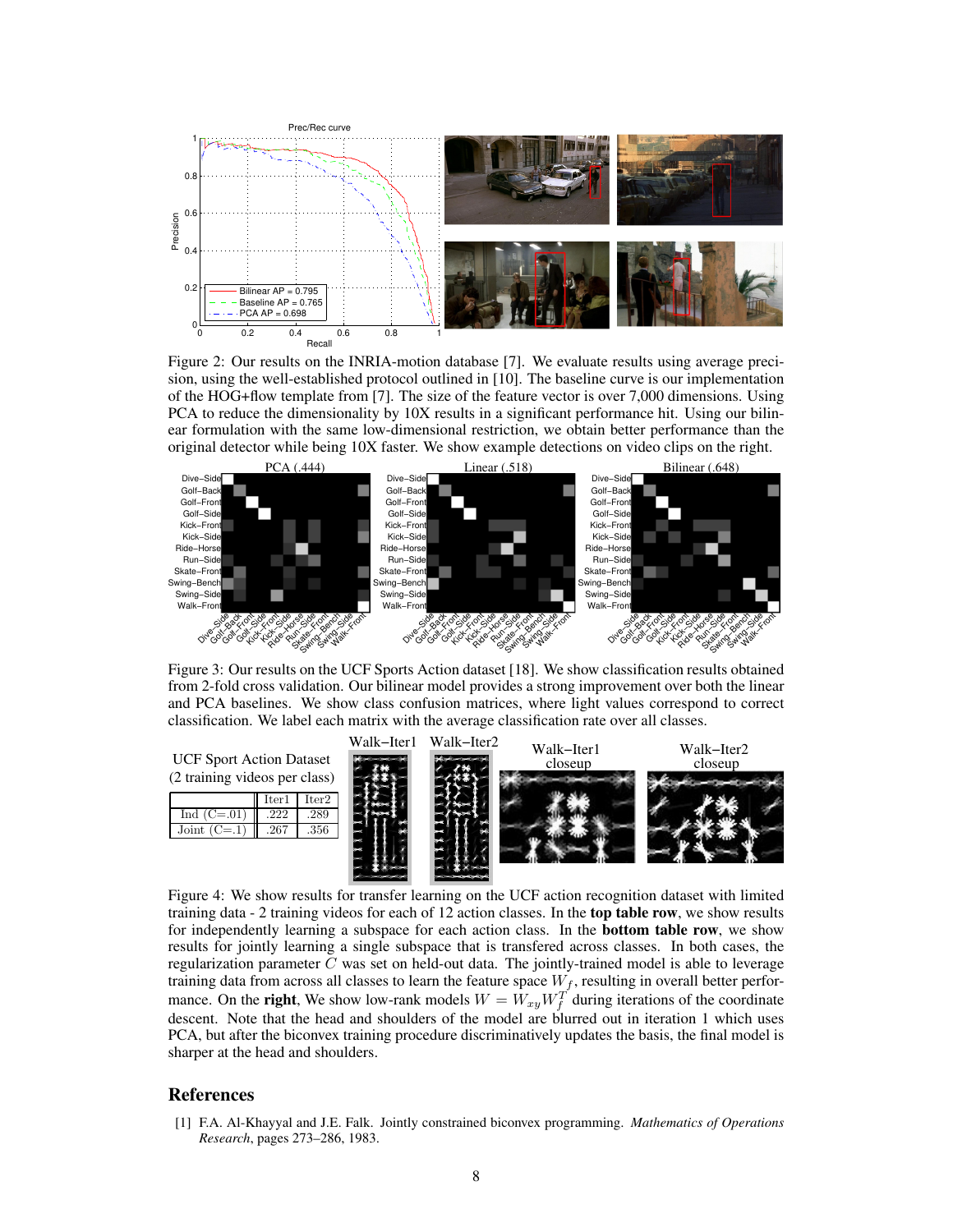

Figure 2: Our results on the INRIA-motion database [7]. We evaluate results using average precision, using the well-established protocol outlined in [10]. The baseline curve is our implementation of the HOG+flow template from [7]. The size of the feature vector is over 7,000 dimensions. Using PCA to reduce the dimensionality by 10X results in a significant performance hit. Using our bilinear formulation with the same low-dimensional restriction, we obtain better performance than the original detector while being 10X faster. We show example detections on video clips on the right.



Figure 3: Our results on the UCF Sports Action dataset [18]. We show classification results obtained from 2-fold cross validation. Our bilinear model provides a strong improvement over both the linear and PCA baselines. We show class confusion matrices, where light values correspond to correct classification. We label each matrix with the average classification rate over all classes.



Figure 4: We show results for transfer learning on the UCF action recognition dataset with limited training data - 2 training videos for each of 12 action classes. In the top table row, we show results for independently learning a subspace for each action class. In the **bottom table row**, we show results for jointly learning a single subspace that is transfered across classes. In both cases, the regularization parameter  $C$  was set on held-out data. The jointly-trained model is able to leverage training data from across all classes to learn the feature space  $W_f$ , resulting in overall better performance. On the **right**, We show low-rank models  $W = W_{xy}W_f^T$  during iterations of the coordinate descent. Note that the head and shoulders of the model are blurred out in iteration 1 which uses PCA, but after the biconvex training procedure discriminatively updates the basis, the final model is sharper at the head and shoulders.

### References

[1] F.A. Al-Khayyal and J.E. Falk. Jointly constrained biconvex programming. *Mathematics of Operations Research*, pages 273–286, 1983.